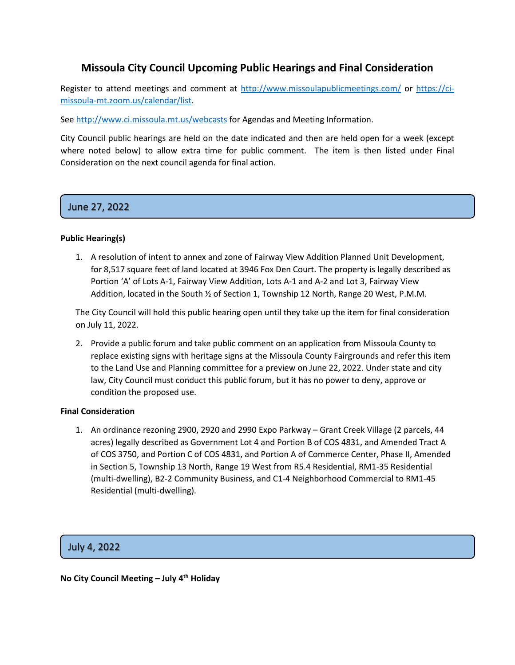### **Missoula City Council Upcoming Public Hearings and Final Consideration**

Register to attend meetings and comment at<http://www.missoulapublicmeetings.com/> or [https://ci](https://ci-missoula-mt.zoom.us/calendar/list)[missoula-mt.zoom.us/calendar/list.](https://ci-missoula-mt.zoom.us/calendar/list)

Se[e http://www.ci.missoula.mt.us/webcasts](http://www.ci.missoula.mt.us/webcasts) for Agendas and Meeting Information.

City Council public hearings are held on the date indicated and then are held open for a week (except where noted below) to allow extra time for public comment. The item is then listed under Final Consideration on the next council agenda for final action.

# June 27, 2022

### **Public Hearing(s)**

1. A resolution of intent to annex and zone of Fairway View Addition Planned Unit Development, for 8,517 square feet of land located at 3946 Fox Den Court. The property is legally described as Portion 'A' of Lots A-1, Fairway View Addition, Lots A-1 and A-2 and Lot 3, Fairway View Addition, located in the South ½ of Section 1, Township 12 North, Range 20 West, P.M.M.

The City Council will hold this public hearing open until they take up the item for final consideration on July 11, 2022.

2. Provide a public forum and take public comment on an application from Missoula County to replace existing signs with heritage signs at the Missoula County Fairgrounds and refer this item to the Land Use and Planning committee for a preview on June 22, 2022. Under state and city law, City Council must conduct this public forum, but it has no power to deny, approve or condition the proposed use.

### **Final Consideration**

1. An ordinance rezoning 2900, 2920 and 2990 Expo Parkway – Grant Creek Village (2 parcels, 44 acres) legally described as Government Lot 4 and Portion B of COS 4831, and Amended Tract A of COS 3750, and Portion C of COS 4831, and Portion A of Commerce Center, Phase II, Amended in Section 5, Township 13 North, Range 19 West from R5.4 Residential, RM1-35 Residential (multi-dwelling), B2-2 Community Business, and C1-4 Neighborhood Commercial to RM1-45 Residential (multi-dwelling).

## 1. July 4, 2022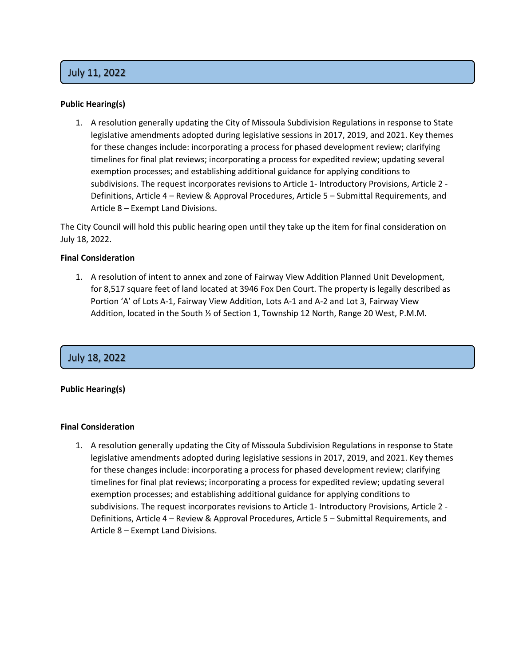# 1. July 11, 2022

### **Public Hearing(s)**

1. A resolution generally updating the City of Missoula Subdivision Regulations in response to State legislative amendments adopted during legislative sessions in 2017, 2019, and 2021. Key themes for these changes include: incorporating a process for phased development review; clarifying timelines for final plat reviews; incorporating a process for expedited review; updating several exemption processes; and establishing additional guidance for applying conditions to subdivisions. The request incorporates revisions to Article 1- Introductory Provisions, Article 2 - Definitions, Article 4 – Review & Approval Procedures, Article 5 – Submittal Requirements, and Article 8 – Exempt Land Divisions.

The City Council will hold this public hearing open until they take up the item for final consideration on July 18, 2022.

### **Final Consideration**

1. A resolution of intent to annex and zone of Fairway View Addition Planned Unit Development, for 8,517 square feet of land located at 3946 Fox Den Court. The property is legally described as Portion 'A' of Lots A-1, Fairway View Addition, Lots A-1 and A-2 and Lot 3, Fairway View Addition, located in the South ½ of Section 1, Township 12 North, Range 20 West, P.M.M.

# 2. July 18, 2022

### **Public Hearing(s)**

#### **Final Consideration**

1. A resolution generally updating the City of Missoula Subdivision Regulations in response to State legislative amendments adopted during legislative sessions in 2017, 2019, and 2021. Key themes for these changes include: incorporating a process for phased development review; clarifying timelines for final plat reviews; incorporating a process for expedited review; updating several exemption processes; and establishing additional guidance for applying conditions to subdivisions. The request incorporates revisions to Article 1- Introductory Provisions, Article 2 - Definitions, Article 4 – Review & Approval Procedures, Article 5 – Submittal Requirements, and Article 8 – Exempt Land Divisions.